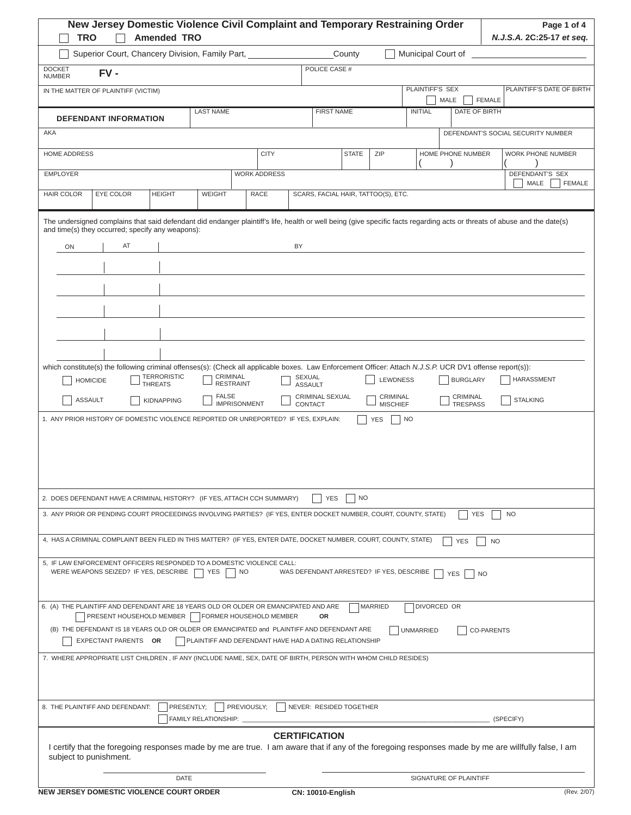| <b>TRO</b>                                                                                                                                                                                                                                                                                                                                                                                                                                                                             |                                   |    | New Jersey Domestic Violence Civil Complaint and Temporary Restraining Order<br><b>Amended TRO</b>                    |                                                                                   |                                                     |                     |                                           |                              |              |                                                              |                  |             |                                                |                   |                                      | Page 1 of 4<br>N.J.S.A. 2C:25-17 et seq. |
|----------------------------------------------------------------------------------------------------------------------------------------------------------------------------------------------------------------------------------------------------------------------------------------------------------------------------------------------------------------------------------------------------------------------------------------------------------------------------------------|-----------------------------------|----|-----------------------------------------------------------------------------------------------------------------------|-----------------------------------------------------------------------------------|-----------------------------------------------------|---------------------|-------------------------------------------|------------------------------|--------------|--------------------------------------------------------------|------------------|-------------|------------------------------------------------|-------------------|--------------------------------------|------------------------------------------|
|                                                                                                                                                                                                                                                                                                                                                                                                                                                                                        |                                   |    | Superior Court, Chancery Division, Family Part, 1986 1997                                                             |                                                                                   |                                                     |                     |                                           |                              | County       |                                                              |                  |             | Municipal Court of _____________               |                   |                                      |                                          |
| <b>DOCKET</b>                                                                                                                                                                                                                                                                                                                                                                                                                                                                          | $FV -$                            |    |                                                                                                                       |                                                                                   |                                                     |                     |                                           | POLICE CASE #                |              |                                                              |                  |             |                                                |                   |                                      |                                          |
| <b>NUMBER</b><br>IN THE MATTER OF PLAINTIFF (VICTIM)                                                                                                                                                                                                                                                                                                                                                                                                                                   |                                   |    |                                                                                                                       |                                                                                   |                                                     |                     |                                           |                              |              |                                                              | PLAINTIFF'S SEX  |             |                                                |                   |                                      | PLAINTIFF'S DATE OF BIRTH                |
|                                                                                                                                                                                                                                                                                                                                                                                                                                                                                        |                                   |    |                                                                                                                       |                                                                                   |                                                     |                     |                                           |                              |              |                                                              |                  |             | MALE                                           | <b>FEMALE</b>     |                                      |                                          |
|                                                                                                                                                                                                                                                                                                                                                                                                                                                                                        | <b>DEFENDANT INFORMATION</b>      |    |                                                                                                                       | <b>LAST NAME</b>                                                                  |                                                     |                     |                                           | <b>FIRST NAME</b>            |              |                                                              | <b>INITIAL</b>   |             | DATE OF BIRTH                                  |                   |                                      |                                          |
| AKA                                                                                                                                                                                                                                                                                                                                                                                                                                                                                    |                                   |    |                                                                                                                       |                                                                                   |                                                     |                     |                                           |                              |              |                                                              |                  |             |                                                |                   | DEFENDANT'S SOCIAL SECURITY NUMBER   |                                          |
| <b>HOME ADDRESS</b>                                                                                                                                                                                                                                                                                                                                                                                                                                                                    |                                   |    |                                                                                                                       |                                                                                   |                                                     | <b>CITY</b>         |                                           |                              | <b>STATE</b> | ZIP                                                          |                  |             | HOME PHONE NUMBER                              |                   | WORK PHONE NUMBER                    |                                          |
| <b>EMPLOYER</b>                                                                                                                                                                                                                                                                                                                                                                                                                                                                        |                                   |    |                                                                                                                       |                                                                                   |                                                     | <b>WORK ADDRESS</b> |                                           |                              |              |                                                              |                  |             |                                                |                   | DEFENDANT'S SEX<br>MALE              | <b>FEMALE</b>                            |
| <b>HAIR COLOR</b>                                                                                                                                                                                                                                                                                                                                                                                                                                                                      | EYE COLOR                         |    | <b>HEIGHT</b>                                                                                                         | <b>WEIGHT</b>                                                                     |                                                     | <b>RACE</b>         |                                           |                              |              | SCARS, FACIAL HAIR, TATTOO(S), ETC.                          |                  |             |                                                |                   |                                      |                                          |
| The undersigned complains that said defendant did endanger plaintiff's life, health or well being (give specific facts regarding acts or threats of abuse and the date(s)<br>and time(s) they occurred; specify any weapons):<br>ON<br>which constitute(s) the following criminal offenses(s): (Check all applicable boxes. Law Enforcement Officer: Attach N.J.S.P. UCR DV1 offense report(s)):<br>1. ANY PRIOR HISTORY OF DOMESTIC VIOLENCE REPORTED OR UNREPORTED? IF YES, EXPLAIN: | <b>HOMICIDE</b><br><b>ASSAULT</b> | AT | TERRORISTIC<br><b>THREATS</b><br><b>KIDNAPPING</b>                                                                    | <b>FALSE</b>                                                                      | CRIMINAL<br><b>RESTRAINT</b><br><b>IMPRISONMENT</b> |                     | BY<br>SEXUAL<br><b>ASSAULT</b><br>CONTACT | CRIMINAL SEXUAL              |              | <b>LEWDNESS</b><br>CRIMINAL<br><b>MISCHIEF</b><br><b>YES</b> | NO               |             | <b>BURGLARY</b><br>CRIMINAL<br><b>TRESPASS</b> |                   | <b>HARASSMENT</b><br><b>STALKING</b> |                                          |
| 2. DOES DEFENDANT HAVE A CRIMINAL HISTORY? (IF YES, ATTACH CCH SUMMARY)                                                                                                                                                                                                                                                                                                                                                                                                                |                                   |    |                                                                                                                       |                                                                                   |                                                     |                     |                                           | <b>YES</b>                   | <b>NO</b>    |                                                              |                  |             |                                                |                   |                                      |                                          |
| 3. ANY PRIOR OR PENDING COURT PROCEEDINGS INVOLVING PARTIES? (IF YES, ENTER DOCKET NUMBER, COURT, COUNTY, STATE)                                                                                                                                                                                                                                                                                                                                                                       |                                   |    |                                                                                                                       |                                                                                   |                                                     |                     |                                           |                              |              |                                                              |                  |             | <b>YES</b>                                     |                   | NO.                                  |                                          |
| 4, HAS A CRIMINAL COMPLAINT BEEN FILED IN THIS MATTER? (IF YES, ENTER DATE, DOCKET NUMBER, COURT, COUNTY, STATE)                                                                                                                                                                                                                                                                                                                                                                       |                                   |    |                                                                                                                       |                                                                                   |                                                     |                     |                                           |                              |              |                                                              |                  |             | <b>YES</b>                                     | <b>NO</b>         |                                      |                                          |
| 5, IF LAW ENFORCEMENT OFFICERS RESPONDED TO A DOMESTIC VIOLENCE CALL:                                                                                                                                                                                                                                                                                                                                                                                                                  |                                   |    | WERE WEAPONS SEIZED? IF YES, DESCRIBE                                                                                 | YES                                                                               | $\overline{\phantom{a}}$ NO                         |                     |                                           |                              |              | WAS DEFENDANT ARRESTED? IF YES, DESCRIBE                     |                  |             | <b>YES</b>                                     | <b>NO</b>         |                                      |                                          |
| 6. (A) THE PLAINTIFF AND DEFENDANT ARE 18 YEARS OLD OR OLDER OR EMANCIPATED AND ARE                                                                                                                                                                                                                                                                                                                                                                                                    | EXPECTANT PARENTS OR              |    | PRESENT HOUSEHOLD MEMBER<br>(B) THE DEFENDANT IS 18 YEARS OLD OR OLDER OR EMANCIPATED and PLAINTIFF AND DEFENDANT ARE | FORMER HOUSEHOLD MEMBER<br>PLAINTIFF AND DEFENDANT HAVE HAD A DATING RELATIONSHIP |                                                     |                     |                                           | 0R                           |              | <b>MARRIED</b>                                               | <b>UNMARRIED</b> | DIVORCED OR |                                                | <b>CO-PARENTS</b> |                                      |                                          |
| 7. WHERE APPROPRIATE LIST CHILDREN, IF ANY (INCLUDE NAME, SEX, DATE OF BIRTH, PERSON WITH WHOM CHILD RESIDES)                                                                                                                                                                                                                                                                                                                                                                          |                                   |    |                                                                                                                       |                                                                                   |                                                     |                     |                                           |                              |              |                                                              |                  |             |                                                |                   |                                      |                                          |
| 8. THE PLAINTIFF AND DEFENDANT:                                                                                                                                                                                                                                                                                                                                                                                                                                                        |                                   |    | PRESENTLY;                                                                                                            | FAMILY RELATIONSHIP:                                                              | PREVIOUSLY;                                         |                     |                                           | NEVER: RESIDED TOGETHER      |              |                                                              |                  |             |                                                |                   | (SPECIFY)                            |                                          |
| I certify that the foregoing responses made by me are true. I am aware that if any of the foregoing responses made by me are willfully false, I am<br>subject to punishment.                                                                                                                                                                                                                                                                                                           |                                   |    |                                                                                                                       |                                                                                   |                                                     |                     |                                           | <b>CERTIFICATION</b>         |              |                                                              |                  |             |                                                |                   |                                      |                                          |
| NEW JERSEY DOMESTIC VIOLENCE COURT ORDER                                                                                                                                                                                                                                                                                                                                                                                                                                               |                                   |    | <b>DATE</b>                                                                                                           |                                                                                   |                                                     |                     |                                           | CN <sub>10010-</sub> English |              |                                                              |                  |             | SIGNATURE OF PLAINTIFF                         |                   |                                      | (Rev. 2/07)                              |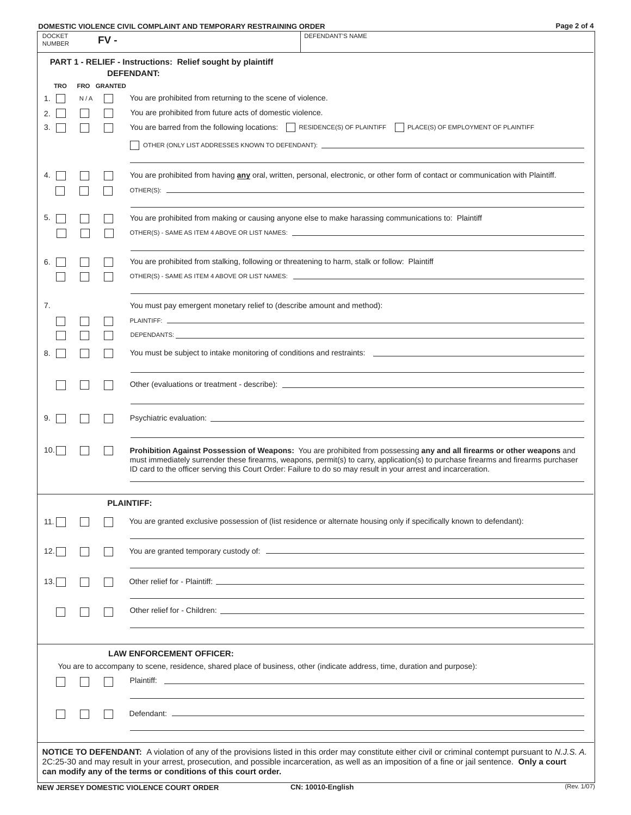| Page 2 | Ωf | 4 |
|--------|----|---|
|        |    |   |

| <b>DOCKET</b><br><b>NUMBER</b> |     | FV-         | DUMEJIIG VIULENGE GIVIL GUMFLAINI AND TEMFUNANT NEJINAINING.<br>UNDLN<br>i ay∈ ∠ ∪i ≒<br><b>DEFENDANT'S NAME</b>                                                                                                                                                                                                                                                                |
|--------------------------------|-----|-------------|---------------------------------------------------------------------------------------------------------------------------------------------------------------------------------------------------------------------------------------------------------------------------------------------------------------------------------------------------------------------------------|
|                                |     |             | PART 1 - RELIEF - Instructions: Relief sought by plaintiff                                                                                                                                                                                                                                                                                                                      |
|                                |     |             | <b>DEFENDANT:</b>                                                                                                                                                                                                                                                                                                                                                               |
| <b>TRO</b>                     |     | FRO GRANTED |                                                                                                                                                                                                                                                                                                                                                                                 |
| 1.                             | N/A |             | You are prohibited from returning to the scene of violence.                                                                                                                                                                                                                                                                                                                     |
| 2.                             |     |             | You are prohibited from future acts of domestic violence.                                                                                                                                                                                                                                                                                                                       |
| 3.                             |     |             | You are barred from the following locations: $\Box$ RESIDENCE(S) OF PLAINTIFF $\Box$ PLACE(S) OF EMPLOYMENT OF PLAINTIFF                                                                                                                                                                                                                                                        |
|                                |     |             |                                                                                                                                                                                                                                                                                                                                                                                 |
| 4.                             |     |             | You are prohibited from having any oral, written, personal, electronic, or other form of contact or communication with Plaintiff.                                                                                                                                                                                                                                               |
|                                |     |             |                                                                                                                                                                                                                                                                                                                                                                                 |
|                                |     |             |                                                                                                                                                                                                                                                                                                                                                                                 |
| 5.                             |     |             | You are prohibited from making or causing anyone else to make harassing communications to: Plaintiff                                                                                                                                                                                                                                                                            |
|                                |     |             |                                                                                                                                                                                                                                                                                                                                                                                 |
| 6.                             |     |             | You are prohibited from stalking, following or threatening to harm, stalk or follow: Plaintiff                                                                                                                                                                                                                                                                                  |
|                                |     |             | OTHER(S) - SAME AS ITEM 4 ABOVE OR LIST NAMES: __________________________________                                                                                                                                                                                                                                                                                               |
| 7.                             |     |             | You must pay emergent monetary relief to (describe amount and method):                                                                                                                                                                                                                                                                                                          |
|                                |     |             |                                                                                                                                                                                                                                                                                                                                                                                 |
|                                |     |             |                                                                                                                                                                                                                                                                                                                                                                                 |
|                                |     |             |                                                                                                                                                                                                                                                                                                                                                                                 |
| 8.                             |     |             | You must be subject to intake monitoring of conditions and restraints: [19] The manufacture of the subject to intake monitoring of conditions and restraints: [20] The manufacture of the state of the state of the state of t                                                                                                                                                  |
|                                |     |             |                                                                                                                                                                                                                                                                                                                                                                                 |
| 9.                             |     |             |                                                                                                                                                                                                                                                                                                                                                                                 |
| 10.                            |     |             | Prohibition Against Possession of Weapons: You are prohibited from possessing any and all firearms or other weapons and<br>must immediately surrender these firearms, weapons, permit(s) to carry, application(s) to purchase firearms and firearms purchaser<br>ID card to the officer serving this Court Order: Failure to do so may result in your arrest and incarceration. |
|                                |     |             | <b>PLAINTIFF:</b>                                                                                                                                                                                                                                                                                                                                                               |
| 11.1                           |     |             | You are granted exclusive possession of (list residence or alternate housing only if specifically known to defendant):                                                                                                                                                                                                                                                          |
| 12.                            |     |             |                                                                                                                                                                                                                                                                                                                                                                                 |
|                                |     |             |                                                                                                                                                                                                                                                                                                                                                                                 |
| 13.                            |     |             |                                                                                                                                                                                                                                                                                                                                                                                 |
|                                |     |             | Other relief for - Children: Later and the contract of the contract of the contract of the contract of the contract of the contract of the contract of the contract of the contract of the contract of the contract of the con                                                                                                                                                  |
|                                |     |             |                                                                                                                                                                                                                                                                                                                                                                                 |
|                                |     |             | <b>LAW ENFORCEMENT OFFICER:</b><br>You are to accompany to scene, residence, shared place of business, other (indicate address, time, duration and purpose):                                                                                                                                                                                                                    |
|                                |     |             |                                                                                                                                                                                                                                                                                                                                                                                 |
|                                |     |             |                                                                                                                                                                                                                                                                                                                                                                                 |
|                                |     |             |                                                                                                                                                                                                                                                                                                                                                                                 |
|                                |     |             |                                                                                                                                                                                                                                                                                                                                                                                 |
|                                |     |             |                                                                                                                                                                                                                                                                                                                                                                                 |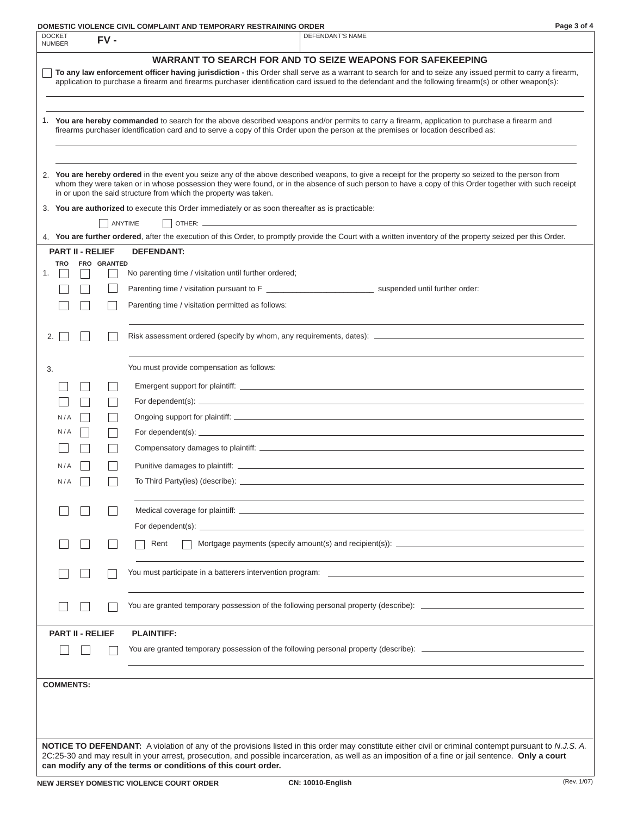|--|

| <b>DOCKET</b><br>$FV -$<br><b>NUMBER</b> | DEFENDANT'S NAME                                                                                                                                                                                                                                                                                                                                                                                                                                                                      |
|------------------------------------------|---------------------------------------------------------------------------------------------------------------------------------------------------------------------------------------------------------------------------------------------------------------------------------------------------------------------------------------------------------------------------------------------------------------------------------------------------------------------------------------|
|                                          | WARRANT TO SEARCH FOR AND TO SEIZE WEAPONS FOR SAFEKEEPING                                                                                                                                                                                                                                                                                                                                                                                                                            |
|                                          | To any law enforcement officer having jurisdiction - this Order shall serve as a warrant to search for and to seize any issued permit to carry a firearm,<br>application to purchase a firearm and firearms purchaser identification card issued to the defendant and the following firearm(s) or other weapon(s):                                                                                                                                                                    |
|                                          | 1. You are hereby commanded to search for the above described weapons and/or permits to carry a firearm, application to purchase a firearm and<br>firearms purchaser identification card and to serve a copy of this Order upon the person at the premises or location described as:                                                                                                                                                                                                  |
|                                          | 2. You are hereby ordered in the event you seize any of the above described weapons, to give a receipt for the property so seized to the person from<br>whom they were taken or in whose possession they were found, or in the absence of such person to have a copy of this Order together with such receipt<br>in or upon the said structure from which the property was taken.<br>3. You are authorized to execute this Order immediately or as soon thereafter as is practicable: |
|                                          | ANYTIME                                                                                                                                                                                                                                                                                                                                                                                                                                                                               |
|                                          | 4. You are further ordered, after the execution of this Order, to promptly provide the Court with a written inventory of the property seized per this Order.                                                                                                                                                                                                                                                                                                                          |
| <b>PART II - RELIEF</b>                  | <b>DEFENDANT:</b>                                                                                                                                                                                                                                                                                                                                                                                                                                                                     |
| <b>TRO</b><br>FRO GRANTED<br>1.          | No parenting time / visitation until further ordered;                                                                                                                                                                                                                                                                                                                                                                                                                                 |
|                                          |                                                                                                                                                                                                                                                                                                                                                                                                                                                                                       |
|                                          | Parenting time / visitation permitted as follows:                                                                                                                                                                                                                                                                                                                                                                                                                                     |
|                                          |                                                                                                                                                                                                                                                                                                                                                                                                                                                                                       |
| 2.                                       |                                                                                                                                                                                                                                                                                                                                                                                                                                                                                       |
| 3.                                       | You must provide compensation as follows:                                                                                                                                                                                                                                                                                                                                                                                                                                             |
|                                          |                                                                                                                                                                                                                                                                                                                                                                                                                                                                                       |
|                                          |                                                                                                                                                                                                                                                                                                                                                                                                                                                                                       |
| N/A                                      |                                                                                                                                                                                                                                                                                                                                                                                                                                                                                       |
| N/A                                      | For dependent(s): $\sqrt{2}$ is a set of the set of the set of the set of the set of the set of the set of the set of the set of the set of the set of the set of the set of the set of the set of the set of the set of the set                                                                                                                                                                                                                                                      |
|                                          |                                                                                                                                                                                                                                                                                                                                                                                                                                                                                       |
| N/A                                      |                                                                                                                                                                                                                                                                                                                                                                                                                                                                                       |
| N/A                                      |                                                                                                                                                                                                                                                                                                                                                                                                                                                                                       |
|                                          |                                                                                                                                                                                                                                                                                                                                                                                                                                                                                       |
|                                          |                                                                                                                                                                                                                                                                                                                                                                                                                                                                                       |
|                                          | Mortgage payments (specify amount(s) and recipient(s)): $\frac{1}{2}$<br>Rent                                                                                                                                                                                                                                                                                                                                                                                                         |
|                                          |                                                                                                                                                                                                                                                                                                                                                                                                                                                                                       |
|                                          | You are granted temporary possession of the following personal property (describe): __________________________                                                                                                                                                                                                                                                                                                                                                                        |
| <b>PART II - RELIEF</b>                  | <b>PLAINTIFF:</b>                                                                                                                                                                                                                                                                                                                                                                                                                                                                     |
|                                          | You are granted temporary possession of the following personal property (describe): __________________________                                                                                                                                                                                                                                                                                                                                                                        |
| <b>COMMENTS:</b>                         |                                                                                                                                                                                                                                                                                                                                                                                                                                                                                       |
|                                          |                                                                                                                                                                                                                                                                                                                                                                                                                                                                                       |
|                                          | <b>NOTICE TO DEFENDANT:</b> A violation of any of the provisions listed in this order may constitute either civil or criminal contempt pursuant to N.J.S. A.                                                                                                                                                                                                                                                                                                                          |
|                                          | 2C:25-30 and may result in your arrest, prosecution, and possible incarceration, as well as an imposition of a fine or jail sentence. Only a court<br>can modify any of the terms or conditions of this court order.                                                                                                                                                                                                                                                                  |